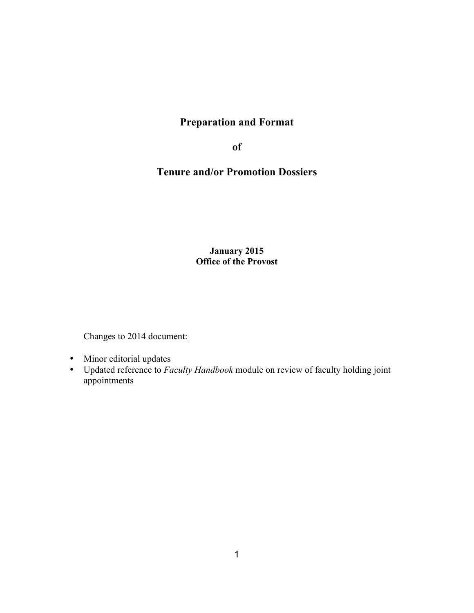# **Preparation and Format**

**of**

# **Tenure and/or Promotion Dossiers**

**January 2015 Office of the Provost**

Changes to 2014 document:

- Minor editorial updates
- Updated reference to *Faculty Handbook* module on review of faculty holding joint appointments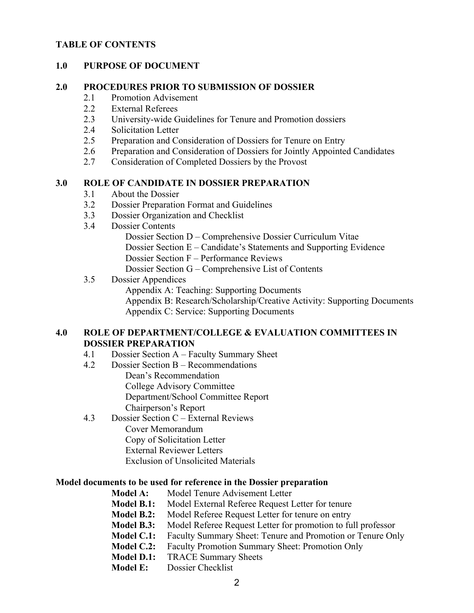#### **TABLE OF CONTENTS**

#### **1.0 PURPOSE OF DOCUMENT**

#### **2.0 PROCEDURES PRIOR TO SUBMISSION OF DOSSIER**

- 2.1 Promotion Advisement
- 2.2 External Referees
- 2.3 University-wide Guidelines for Tenure and Promotion dossiers
- 2.4 Solicitation Letter
- 2.5 Preparation and Consideration of Dossiers for Tenure on Entry
- 2.6 Preparation and Consideration of Dossiers for Jointly Appointed Candidates
- 2.7 Consideration of Completed Dossiers by the Provost

#### **3.0 ROLE OF CANDIDATE IN DOSSIER PREPARATION**

- 3.1 About the Dossier
- 3.2 Dossier Preparation Format and Guidelines
- 3.3 Dossier Organization and Checklist
- 3.4 Dossier Contents
	- Dossier Section D Comprehensive Dossier Curriculum Vitae
	- Dossier Section E Candidate's Statements and Supporting Evidence
	- Dossier Section F Performance Reviews
	- Dossier Section G Comprehensive List of Contents

#### 3.5 Dossier Appendices

Appendix A: Teaching: Supporting Documents

Appendix B: Research/Scholarship/Creative Activity: Supporting Documents Appendix C: Service: Supporting Documents

#### **4.0 ROLE OF DEPARTMENT/COLLEGE & EVALUATION COMMITTEES IN DOSSIER PREPARATION**

- 4.1 Dossier Section A Faculty Summary Sheet
- 4.2 Dossier Section B Recommendations
	- Dean's Recommendation College Advisory Committee Department/School Committee Report Chairperson's Report
- 4.3 Dossier Section C External Reviews Cover Memorandum
	- Copy of Solicitation Letter
	- External Reviewer Letters
	- Exclusion of Unsolicited Materials

#### **Model documents to be used for reference in the Dossier preparation**

- **Model A:** Model Tenure Advisement Letter **Model B.1:** Model External Referee Request Letter for tenure **Model B.2:** Model Referee Request Letter for tenure on entry
- **Model B.3:** Model Referee Request Letter for promotion to full professor
- **Model C.1:** Faculty Summary Sheet: Tenure and Promotion or Tenure Only
- **Model C.2:** Faculty Promotion Summary Sheet: Promotion Only
- **Model D.1:** TRACE Summary Sheets
- **Model E:** Dossier Checklist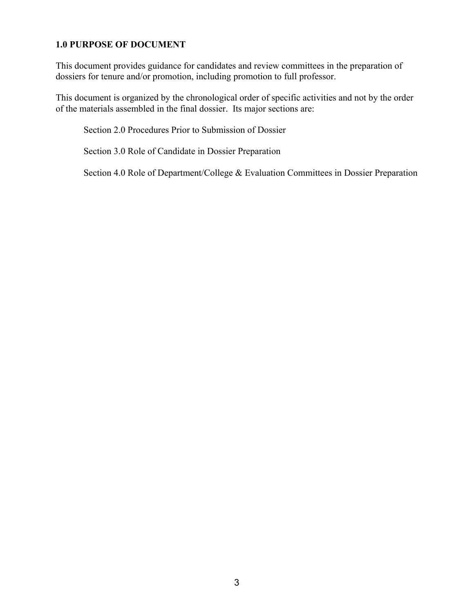## **1.0 PURPOSE OF DOCUMENT**

This document provides guidance for candidates and review committees in the preparation of dossiers for tenure and/or promotion, including promotion to full professor.

This document is organized by the chronological order of specific activities and not by the order of the materials assembled in the final dossier. Its major sections are:

Section 2.0 Procedures Prior to Submission of Dossier

Section 3.0 Role of Candidate in Dossier Preparation

Section 4.0 Role of Department/College & Evaluation Committees in Dossier Preparation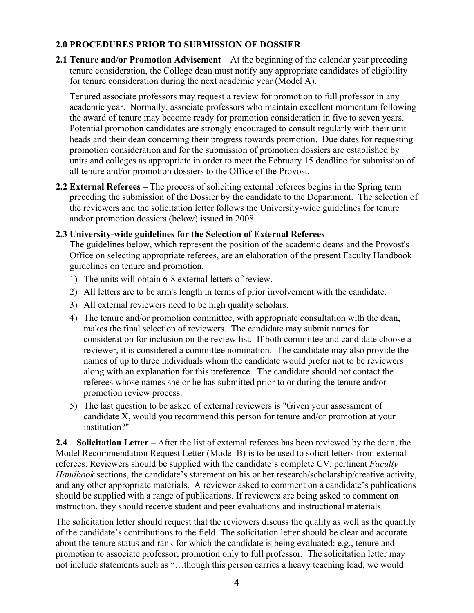## **2.0 PROCEDURES PRIOR TO SUBMISSION OF DOSSIER**

**2.1 Tenure and/or Promotion Advisement** – At the beginning of the calendar year preceding tenure consideration, the College dean must notify any appropriate candidates of eligibility for tenure consideration during the next academic year (Model A).

Tenured associate professors may request a review for promotion to full professor in any academic year. Normally, associate professors who maintain excellent momentum following the award of tenure may become ready for promotion consideration in five to seven years. Potential promotion candidates are strongly encouraged to consult regularly with their unit heads and their dean concerning their progress towards promotion. Due dates for requesting promotion consideration and for the submission of promotion dossiers are established by units and colleges as appropriate in order to meet the February 15 deadline for submission of all tenure and/or promotion dossiers to the Office of the Provost.

**2.2 External Referees** – The process of soliciting external referees begins in the Spring term preceding the submission of the Dossier by the candidate to the Department. The selection of the reviewers and the solicitation letter follows the University-wide guidelines for tenure and/or promotion dossiers (below) issued in 2008.

## **2.3 University-wide guidelines for the Selection of External Referees**

The guidelines below, which represent the position of the academic deans and the Provost's Office on selecting appropriate referees, are an elaboration of the present Faculty Handbook guidelines on tenure and promotion.

- 1) The units will obtain 6-8 external letters of review.
- 2) All letters are to be arm's length in terms of prior involvement with the candidate.
- 3) All external reviewers need to be high quality scholars.
- 4) The tenure and/or promotion committee, with appropriate consultation with the dean, makes the final selection of reviewers. The candidate may submit names for consideration for inclusion on the review list. If both committee and candidate choose a reviewer, it is considered a committee nomination. The candidate may also provide the names of up to three individuals whom the candidate would prefer not to be reviewers along with an explanation for this preference. The candidate should not contact the referees whose names she or he has submitted prior to or during the tenure and/or promotion review process.
- 5) The last question to be asked of external reviewers is "Given your assessment of candidate X, would you recommend this person for tenure and/or promotion at your institution?"

**2.4 Solicitation Letter –** After the list of external referees has been reviewed by the dean, the Model Recommendation Request Letter (Model B) is to be used to solicit letters from external referees. Reviewers should be supplied with the candidate's complete CV, pertinent *Faculty Handbook* sections, the candidate's statement on his or her research/scholarship/creative activity, and any other appropriate materials. A reviewer asked to comment on a candidate's publications should be supplied with a range of publications. If reviewers are being asked to comment on instruction, they should receive student and peer evaluations and instructional materials.

The solicitation letter should request that the reviewers discuss the quality as well as the quantity of the candidate's contributions to the field. The solicitation letter should be clear and accurate about the tenure status and rank for which the candidate is being evaluated: e.g., tenure and promotion to associate professor, promotion only to full professor. The solicitation letter may not include statements such as "…though this person carries a heavy teaching load, we would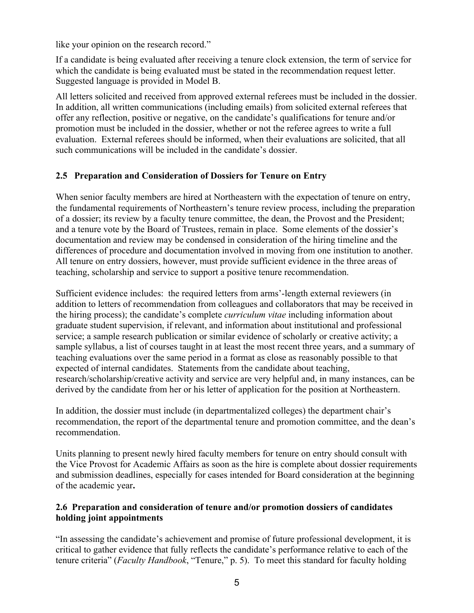like your opinion on the research record."

If a candidate is being evaluated after receiving a tenure clock extension, the term of service for which the candidate is being evaluated must be stated in the recommendation request letter. Suggested language is provided in Model B.

All letters solicited and received from approved external referees must be included in the dossier. In addition, all written communications (including emails) from solicited external referees that offer any reflection, positive or negative, on the candidate's qualifications for tenure and/or promotion must be included in the dossier, whether or not the referee agrees to write a full evaluation. External referees should be informed, when their evaluations are solicited, that all such communications will be included in the candidate's dossier.

#### **2.5 Preparation and Consideration of Dossiers for Tenure on Entry**

When senior faculty members are hired at Northeastern with the expectation of tenure on entry, the fundamental requirements of Northeastern's tenure review process, including the preparation of a dossier; its review by a faculty tenure committee, the dean, the Provost and the President; and a tenure vote by the Board of Trustees, remain in place. Some elements of the dossier's documentation and review may be condensed in consideration of the hiring timeline and the differences of procedure and documentation involved in moving from one institution to another. All tenure on entry dossiers, however, must provide sufficient evidence in the three areas of teaching, scholarship and service to support a positive tenure recommendation.

Sufficient evidence includes: the required letters from arms'-length external reviewers (in addition to letters of recommendation from colleagues and collaborators that may be received in the hiring process); the candidate's complete *curriculum vitae* including information about graduate student supervision, if relevant, and information about institutional and professional service; a sample research publication or similar evidence of scholarly or creative activity; a sample syllabus, a list of courses taught in at least the most recent three years, and a summary of teaching evaluations over the same period in a format as close as reasonably possible to that expected of internal candidates. Statements from the candidate about teaching, research/scholarship/creative activity and service are very helpful and, in many instances, can be derived by the candidate from her or his letter of application for the position at Northeastern.

In addition, the dossier must include (in departmentalized colleges) the department chair's recommendation, the report of the departmental tenure and promotion committee, and the dean's recommendation.

Units planning to present newly hired faculty members for tenure on entry should consult with the Vice Provost for Academic Affairs as soon as the hire is complete about dossier requirements and submission deadlines, especially for cases intended for Board consideration at the beginning of the academic year**.**

## **2.6 Preparation and consideration of tenure and/or promotion dossiers of candidates holding joint appointments**

"In assessing the candidate's achievement and promise of future professional development, it is critical to gather evidence that fully reflects the candidate's performance relative to each of the tenure criteria" (*Faculty Handbook*, "Tenure," p. 5). To meet this standard for faculty holding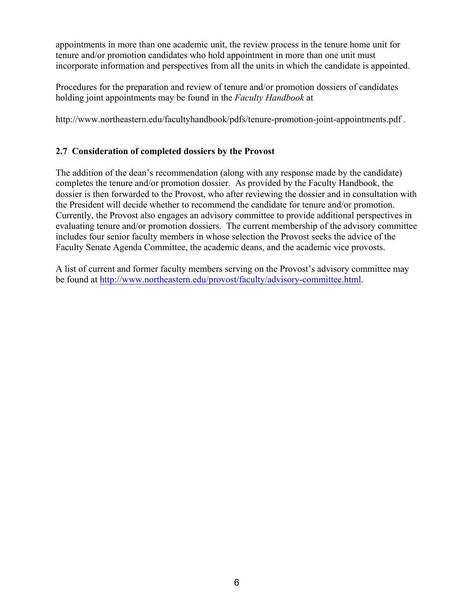appointments in more than one academic unit, the review process in the tenure home unit for tenure and/or promotion candidates who hold appointment in more than one unit must incorporate information and perspectives from all the units in which the candidate is appointed.

Procedures for the preparation and review of tenure and/or promotion dossiers of candidates holding joint appointments may be found in the *Faculty Handbook* at

http://www.northeastern.edu/facultyhandbook/pdfs/tenure-promotion-joint-appointments.pdf .

## **2.7 Consideration of completed dossiers by the Provost**

The addition of the dean's recommendation (along with any response made by the candidate) completes the tenure and/or promotion dossier. As provided by the Faculty Handbook, the dossier is then forwarded to the Provost, who after reviewing the dossier and in consultation with the President will decide whether to recommend the candidate for tenure and/or promotion. Currently, the Provost also engages an advisory committee to provide additional perspectives in evaluating tenure and/or promotion dossiers. The current membership of the advisory committee includes four senior faculty members in whose selection the Provost seeks the advice of the Faculty Senate Agenda Committee, the academic deans, and the academic vice provosts.

A list of current and former faculty members serving on the Provost's advisory committee may be found at http://www.northeastern.edu/provost/faculty/advisory-committee.html.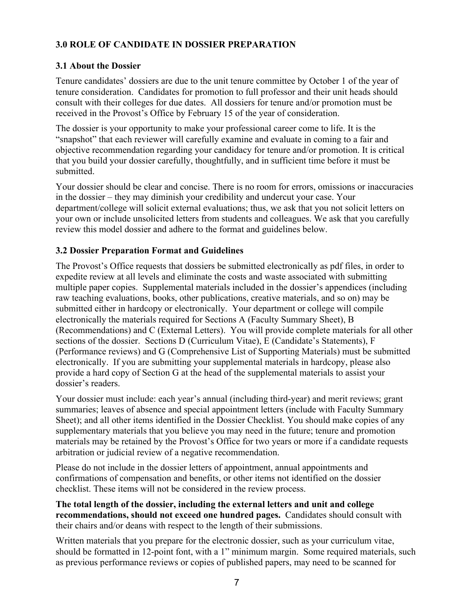# **3.0 ROLE OF CANDIDATE IN DOSSIER PREPARATION**

#### **3.1 About the Dossier**

Tenure candidates' dossiers are due to the unit tenure committee by October 1 of the year of tenure consideration. Candidates for promotion to full professor and their unit heads should consult with their colleges for due dates. All dossiers for tenure and/or promotion must be received in the Provost's Office by February 15 of the year of consideration.

The dossier is your opportunity to make your professional career come to life. It is the "snapshot" that each reviewer will carefully examine and evaluate in coming to a fair and objective recommendation regarding your candidacy for tenure and/or promotion. It is critical that you build your dossier carefully, thoughtfully, and in sufficient time before it must be submitted.

Your dossier should be clear and concise. There is no room for errors, omissions or inaccuracies in the dossier – they may diminish your credibility and undercut your case. Your department/college will solicit external evaluations; thus, we ask that you not solicit letters on your own or include unsolicited letters from students and colleagues. We ask that you carefully review this model dossier and adhere to the format and guidelines below.

#### **3.2 Dossier Preparation Format and Guidelines**

The Provost's Office requests that dossiers be submitted electronically as pdf files, in order to expedite review at all levels and eliminate the costs and waste associated with submitting multiple paper copies. Supplemental materials included in the dossier's appendices (including raw teaching evaluations, books, other publications, creative materials, and so on) may be submitted either in hardcopy or electronically. Your department or college will compile electronically the materials required for Sections A (Faculty Summary Sheet), B (Recommendations) and C (External Letters). You will provide complete materials for all other sections of the dossier. Sections D (Curriculum Vitae), E (Candidate's Statements), F (Performance reviews) and G (Comprehensive List of Supporting Materials) must be submitted electronically. If you are submitting your supplemental materials in hardcopy, please also provide a hard copy of Section G at the head of the supplemental materials to assist your dossier's readers.

Your dossier must include: each year's annual (including third-year) and merit reviews; grant summaries; leaves of absence and special appointment letters (include with Faculty Summary Sheet); and all other items identified in the Dossier Checklist. You should make copies of any supplementary materials that you believe you may need in the future; tenure and promotion materials may be retained by the Provost's Office for two years or more if a candidate requests arbitration or judicial review of a negative recommendation.

Please do not include in the dossier letters of appointment, annual appointments and confirmations of compensation and benefits, or other items not identified on the dossier checklist. These items will not be considered in the review process.

**The total length of the dossier, including the external letters and unit and college recommendations, should not exceed one hundred pages.** Candidates should consult with their chairs and/or deans with respect to the length of their submissions.

Written materials that you prepare for the electronic dossier, such as your curriculum vitae, should be formatted in 12-point font, with a 1" minimum margin. Some required materials, such as previous performance reviews or copies of published papers, may need to be scanned for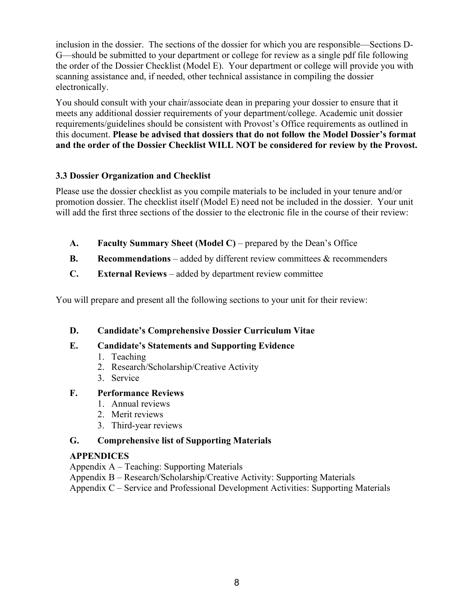inclusion in the dossier. The sections of the dossier for which you are responsible—Sections D-G—should be submitted to your department or college for review as a single pdf file following the order of the Dossier Checklist (Model E). Your department or college will provide you with scanning assistance and, if needed, other technical assistance in compiling the dossier electronically.

You should consult with your chair/associate dean in preparing your dossier to ensure that it meets any additional dossier requirements of your department/college. Academic unit dossier requirements/guidelines should be consistent with Provost's Office requirements as outlined in this document. **Please be advised that dossiers that do not follow the Model Dossier's format and the order of the Dossier Checklist WILL NOT be considered for review by the Provost.**

## **3.3 Dossier Organization and Checklist**

Please use the dossier checklist as you compile materials to be included in your tenure and/or promotion dossier. The checklist itself (Model E) need not be included in the dossier. Your unit will add the first three sections of the dossier to the electronic file in the course of their review:

- **A. Faculty Summary Sheet (Model C)**  prepared by the Dean's Office
- **B. Recommendations** added by different review committees & recommenders
- **C. External Reviews** added by department review committee

You will prepare and present all the following sections to your unit for their review:

# **D. Candidate's Comprehensive Dossier Curriculum Vitae**

# **E. Candidate's Statements and Supporting Evidence**

- 1. Teaching
- 2. Research/Scholarship/Creative Activity
- 3. Service

# **F. Performance Reviews**

- 1. Annual reviews
- 2. Merit reviews
- 3. Third-year reviews

# **G. Comprehensive list of Supporting Materials**

# **APPENDICES**

Appendix A – Teaching: Supporting Materials

Appendix B – Research/Scholarship/Creative Activity: Supporting Materials

Appendix C – Service and Professional Development Activities: Supporting Materials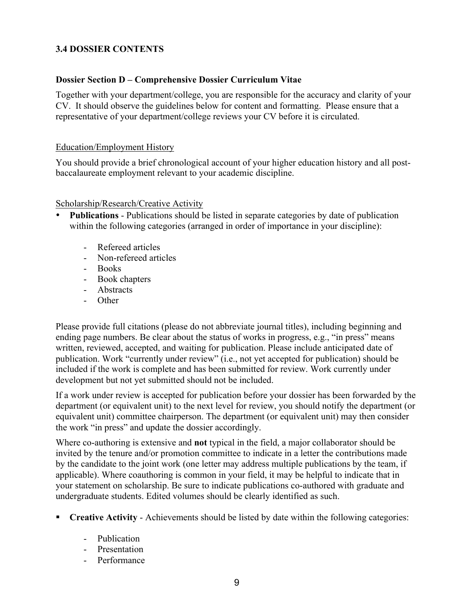## **3.4 DOSSIER CONTENTS**

#### **Dossier Section D – Comprehensive Dossier Curriculum Vitae**

Together with your department/college, you are responsible for the accuracy and clarity of your CV. It should observe the guidelines below for content and formatting. Please ensure that a representative of your department/college reviews your CV before it is circulated.

#### Education/Employment History

You should provide a brief chronological account of your higher education history and all postbaccalaureate employment relevant to your academic discipline.

#### Scholarship/Research/Creative Activity

- **Publications** Publications should be listed in separate categories by date of publication within the following categories (arranged in order of importance in your discipline):
	- Refereed articles
	- Non-refereed articles
	- Books
	- Book chapters
	- Abstracts
	- Other

Please provide full citations (please do not abbreviate journal titles), including beginning and ending page numbers. Be clear about the status of works in progress, e.g., "in press" means written, reviewed, accepted, and waiting for publication. Please include anticipated date of publication. Work "currently under review" (i.e., not yet accepted for publication) should be included if the work is complete and has been submitted for review. Work currently under development but not yet submitted should not be included.

If a work under review is accepted for publication before your dossier has been forwarded by the department (or equivalent unit) to the next level for review, you should notify the department (or equivalent unit) committee chairperson. The department (or equivalent unit) may then consider the work "in press" and update the dossier accordingly.

Where co-authoring is extensive and **not** typical in the field, a major collaborator should be invited by the tenure and/or promotion committee to indicate in a letter the contributions made by the candidate to the joint work (one letter may address multiple publications by the team, if applicable). Where coauthoring is common in your field, it may be helpful to indicate that in your statement on scholarship. Be sure to indicate publications co-authored with graduate and undergraduate students. Edited volumes should be clearly identified as such.

- **Creative Activity** Achievements should be listed by date within the following categories:
	- Publication
	- Presentation
	- Performance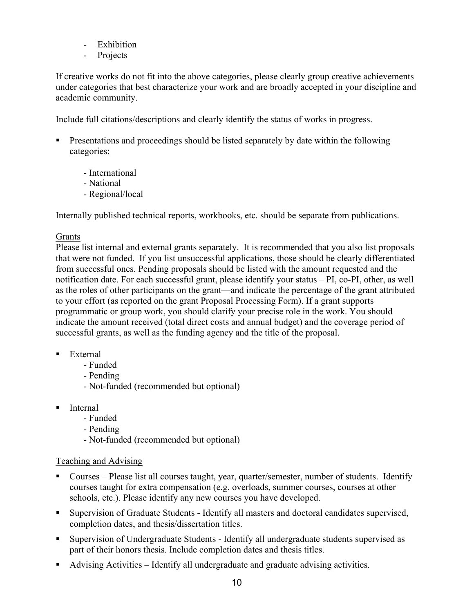- Exhibition
- Projects

If creative works do not fit into the above categories, please clearly group creative achievements under categories that best characterize your work and are broadly accepted in your discipline and academic community.

Include full citations/descriptions and clearly identify the status of works in progress.

- Presentations and proceedings should be listed separately by date within the following categories:
	- International
	- National
	- Regional/local

Internally published technical reports, workbooks, etc. should be separate from publications.

#### Grants

Please list internal and external grants separately. It is recommended that you also list proposals that were not funded. If you list unsuccessful applications, those should be clearly differentiated from successful ones. Pending proposals should be listed with the amount requested and the notification date. For each successful grant, please identify your status – PI, co-PI, other, as well as the roles of other participants on the grant—and indicate the percentage of the grant attributed to your effort (as reported on the grant Proposal Processing Form). If a grant supports programmatic or group work, you should clarify your precise role in the work. You should indicate the amount received (total direct costs and annual budget) and the coverage period of successful grants, as well as the funding agency and the title of the proposal.

- External
	- Funded
	- Pending
	- Not-funded (recommended but optional)
- Internal
	- Funded
	- Pending
	- Not-funded (recommended but optional)

#### Teaching and Advising

- Courses Please list all courses taught, year, quarter/semester, number of students. Identify courses taught for extra compensation (e.g. overloads, summer courses, courses at other schools, etc.). Please identify any new courses you have developed.
- Supervision of Graduate Students Identify all masters and doctoral candidates supervised, completion dates, and thesis/dissertation titles.
- Supervision of Undergraduate Students Identify all undergraduate students supervised as part of their honors thesis. Include completion dates and thesis titles.
- Advising Activities Identify all undergraduate and graduate advising activities.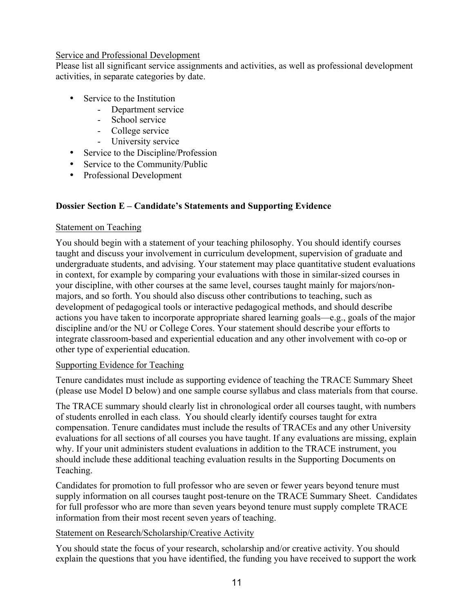#### Service and Professional Development

Please list all significant service assignments and activities, as well as professional development activities, in separate categories by date.

- Service to the Institution
	- Department service
	- School service
	- College service
	- University service
- Service to the Discipline/Profession
- Service to the Community/Public
- Professional Development

# **Dossier Section E – Candidate's Statements and Supporting Evidence**

#### Statement on Teaching

You should begin with a statement of your teaching philosophy. You should identify courses taught and discuss your involvement in curriculum development, supervision of graduate and undergraduate students, and advising. Your statement may place quantitative student evaluations in context, for example by comparing your evaluations with those in similar-sized courses in your discipline, with other courses at the same level, courses taught mainly for majors/nonmajors, and so forth. You should also discuss other contributions to teaching, such as development of pedagogical tools or interactive pedagogical methods, and should describe actions you have taken to incorporate appropriate shared learning goals—e.g., goals of the major discipline and/or the NU or College Cores. Your statement should describe your efforts to integrate classroom-based and experiential education and any other involvement with co-op or other type of experiential education.

#### Supporting Evidence for Teaching

Tenure candidates must include as supporting evidence of teaching the TRACE Summary Sheet (please use Model D below) and one sample course syllabus and class materials from that course.

The TRACE summary should clearly list in chronological order all courses taught, with numbers of students enrolled in each class. You should clearly identify courses taught for extra compensation. Tenure candidates must include the results of TRACEs and any other University evaluations for all sections of all courses you have taught. If any evaluations are missing, explain why. If your unit administers student evaluations in addition to the TRACE instrument, you should include these additional teaching evaluation results in the Supporting Documents on Teaching.

Candidates for promotion to full professor who are seven or fewer years beyond tenure must supply information on all courses taught post-tenure on the TRACE Summary Sheet. Candidates for full professor who are more than seven years beyond tenure must supply complete TRACE information from their most recent seven years of teaching.

#### Statement on Research/Scholarship/Creative Activity

You should state the focus of your research, scholarship and/or creative activity. You should explain the questions that you have identified, the funding you have received to support the work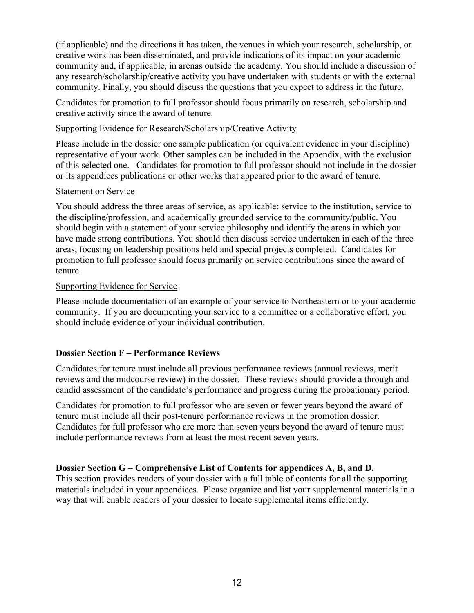(if applicable) and the directions it has taken, the venues in which your research, scholarship, or creative work has been disseminated, and provide indications of its impact on your academic community and, if applicable, in arenas outside the academy. You should include a discussion of any research/scholarship/creative activity you have undertaken with students or with the external community. Finally, you should discuss the questions that you expect to address in the future.

Candidates for promotion to full professor should focus primarily on research, scholarship and creative activity since the award of tenure.

#### Supporting Evidence for Research/Scholarship/Creative Activity

Please include in the dossier one sample publication (or equivalent evidence in your discipline) representative of your work. Other samples can be included in the Appendix, with the exclusion of this selected one. Candidates for promotion to full professor should not include in the dossier or its appendices publications or other works that appeared prior to the award of tenure.

#### Statement on Service

You should address the three areas of service, as applicable: service to the institution, service to the discipline/profession, and academically grounded service to the community/public. You should begin with a statement of your service philosophy and identify the areas in which you have made strong contributions. You should then discuss service undertaken in each of the three areas, focusing on leadership positions held and special projects completed. Candidates for promotion to full professor should focus primarily on service contributions since the award of tenure.

#### Supporting Evidence for Service

Please include documentation of an example of your service to Northeastern or to your academic community. If you are documenting your service to a committee or a collaborative effort, you should include evidence of your individual contribution.

#### **Dossier Section F – Performance Reviews**

Candidates for tenure must include all previous performance reviews (annual reviews, merit reviews and the midcourse review) in the dossier. These reviews should provide a through and candid assessment of the candidate's performance and progress during the probationary period.

Candidates for promotion to full professor who are seven or fewer years beyond the award of tenure must include all their post-tenure performance reviews in the promotion dossier. Candidates for full professor who are more than seven years beyond the award of tenure must include performance reviews from at least the most recent seven years.

#### **Dossier Section G – Comprehensive List of Contents for appendices A, B, and D.**

This section provides readers of your dossier with a full table of contents for all the supporting materials included in your appendices. Please organize and list your supplemental materials in a way that will enable readers of your dossier to locate supplemental items efficiently.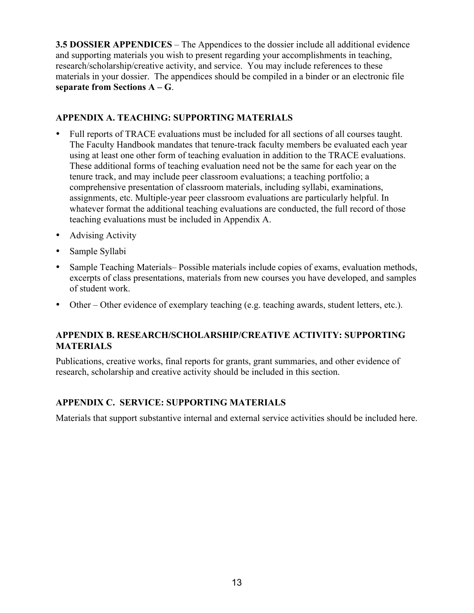**3.5 DOSSIER APPENDICES** – The Appendices to the dossier include all additional evidence and supporting materials you wish to present regarding your accomplishments in teaching, research/scholarship/creative activity, and service. You may include references to these materials in your dossier. The appendices should be compiled in a binder or an electronic file **separate from Sections A – G**.

## **APPENDIX A. TEACHING: SUPPORTING MATERIALS**

- Full reports of TRACE evaluations must be included for all sections of all courses taught. The Faculty Handbook mandates that tenure-track faculty members be evaluated each year using at least one other form of teaching evaluation in addition to the TRACE evaluations. These additional forms of teaching evaluation need not be the same for each year on the tenure track, and may include peer classroom evaluations; a teaching portfolio; a comprehensive presentation of classroom materials, including syllabi, examinations, assignments, etc. Multiple-year peer classroom evaluations are particularly helpful. In whatever format the additional teaching evaluations are conducted, the full record of those teaching evaluations must be included in Appendix A.
- Advising Activity
- Sample Syllabi
- Sample Teaching Materials– Possible materials include copies of exams, evaluation methods, excerpts of class presentations, materials from new courses you have developed, and samples of student work.
- Other Other evidence of exemplary teaching (e.g. teaching awards, student letters, etc.).

#### **APPENDIX B. RESEARCH/SCHOLARSHIP/CREATIVE ACTIVITY: SUPPORTING MATERIALS**

Publications, creative works, final reports for grants, grant summaries, and other evidence of research, scholarship and creative activity should be included in this section.

# **APPENDIX C. SERVICE: SUPPORTING MATERIALS**

Materials that support substantive internal and external service activities should be included here.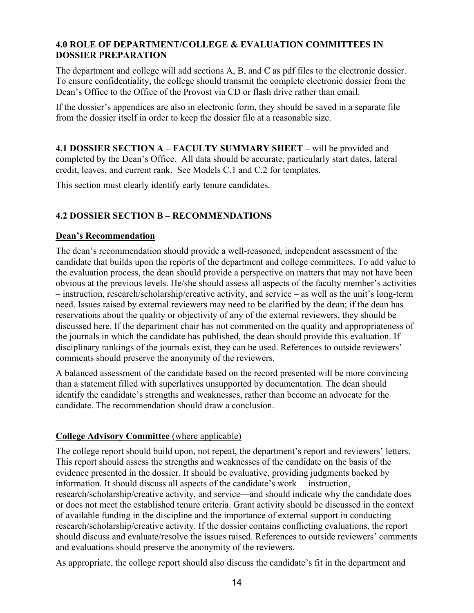#### **4.0 ROLE OF DEPARTMENT/COLLEGE & EVALUATION COMMITTEES IN DOSSIER PREPARATION**

The department and college will add sections A, B, and C as pdf files to the electronic dossier. To ensure confidentiality, the college should transmit the complete electronic dossier from the Dean's Office to the Office of the Provost via CD or flash drive rather than email.

If the dossier's appendices are also in electronic form, they should be saved in a separate file from the dossier itself in order to keep the dossier file at a reasonable size.

**4.1 DOSSIER SECTION A – FACULTY SUMMARY SHEET –** will be provided and completed by the Dean's Office. All data should be accurate, particularly start dates, lateral credit, leaves, and current rank. See Models C.1 and C.2 for templates.

This section must clearly identify early tenure candidates.

# **4.2 DOSSIER SECTION B – RECOMMENDATIONS**

#### **Dean's Recommendation**

The dean's recommendation should provide a well-reasoned, independent assessment of the candidate that builds upon the reports of the department and college committees. To add value to the evaluation process, the dean should provide a perspective on matters that may not have been obvious at the previous levels. He/she should assess all aspects of the faculty member's activities – instruction, research/scholarship/creative activity, and service – as well as the unit's long-term need. Issues raised by external reviewers may need to be clarified by the dean; if the dean has reservations about the quality or objectivity of any of the external reviewers, they should be discussed here. If the department chair has not commented on the quality and appropriateness of the journals in which the candidate has published, the dean should provide this evaluation. If disciplinary rankings of the journals exist, they can be used. References to outside reviewers' comments should preserve the anonymity of the reviewers.

A balanced assessment of the candidate based on the record presented will be more convincing than a statement filled with superlatives unsupported by documentation. The dean should identify the candidate's strengths and weaknesses, rather than become an advocate for the candidate. The recommendation should draw a conclusion.

#### **College Advisory Committee** (where applicable)

The college report should build upon, not repeat, the department's report and reviewers' letters. This report should assess the strengths and weaknesses of the candidate on the basis of the evidence presented in the dossier. It should be evaluative, providing judgments backed by information. It should discuss all aspects of the candidate's work— instruction, research/scholarship/creative activity, and service—and should indicate why the candidate does or does not meet the established tenure criteria. Grant activity should be discussed in the context of available funding in the discipline and the importance of external support in conducting research/scholarship/creative activity. If the dossier contains conflicting evaluations, the report should discuss and evaluate/resolve the issues raised. References to outside reviewers' comments and evaluations should preserve the anonymity of the reviewers.

As appropriate, the college report should also discuss the candidate's fit in the department and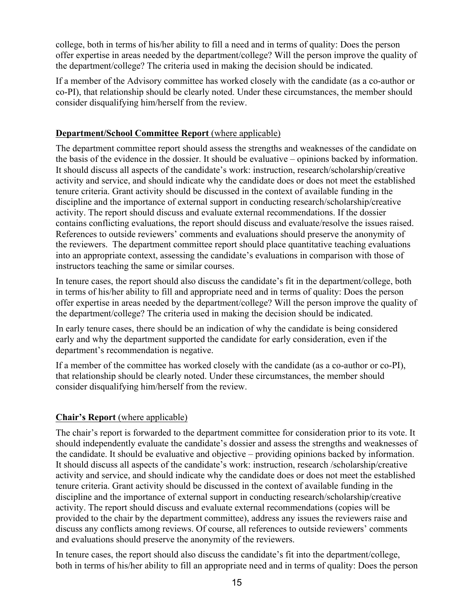college, both in terms of his/her ability to fill a need and in terms of quality: Does the person offer expertise in areas needed by the department/college? Will the person improve the quality of the department/college? The criteria used in making the decision should be indicated.

If a member of the Advisory committee has worked closely with the candidate (as a co-author or co-PI), that relationship should be clearly noted. Under these circumstances, the member should consider disqualifying him/herself from the review.

#### **Department/School Committee Report** (where applicable)

The department committee report should assess the strengths and weaknesses of the candidate on the basis of the evidence in the dossier. It should be evaluative – opinions backed by information. It should discuss all aspects of the candidate's work: instruction, research/scholarship/creative activity and service, and should indicate why the candidate does or does not meet the established tenure criteria. Grant activity should be discussed in the context of available funding in the discipline and the importance of external support in conducting research/scholarship/creative activity. The report should discuss and evaluate external recommendations. If the dossier contains conflicting evaluations, the report should discuss and evaluate/resolve the issues raised. References to outside reviewers' comments and evaluations should preserve the anonymity of the reviewers. The department committee report should place quantitative teaching evaluations into an appropriate context, assessing the candidate's evaluations in comparison with those of instructors teaching the same or similar courses.

In tenure cases, the report should also discuss the candidate's fit in the department/college, both in terms of his/her ability to fill and appropriate need and in terms of quality: Does the person offer expertise in areas needed by the department/college? Will the person improve the quality of the department/college? The criteria used in making the decision should be indicated.

In early tenure cases, there should be an indication of why the candidate is being considered early and why the department supported the candidate for early consideration, even if the department's recommendation is negative.

If a member of the committee has worked closely with the candidate (as a co-author or co-PI), that relationship should be clearly noted. Under these circumstances, the member should consider disqualifying him/herself from the review.

# **Chair's Report** (where applicable)

The chair's report is forwarded to the department committee for consideration prior to its vote. It should independently evaluate the candidate's dossier and assess the strengths and weaknesses of the candidate. It should be evaluative and objective – providing opinions backed by information. It should discuss all aspects of the candidate's work: instruction, research /scholarship/creative activity and service, and should indicate why the candidate does or does not meet the established tenure criteria. Grant activity should be discussed in the context of available funding in the discipline and the importance of external support in conducting research/scholarship/creative activity. The report should discuss and evaluate external recommendations (copies will be provided to the chair by the department committee), address any issues the reviewers raise and discuss any conflicts among reviews. Of course, all references to outside reviewers' comments and evaluations should preserve the anonymity of the reviewers.

In tenure cases, the report should also discuss the candidate's fit into the department/college, both in terms of his/her ability to fill an appropriate need and in terms of quality: Does the person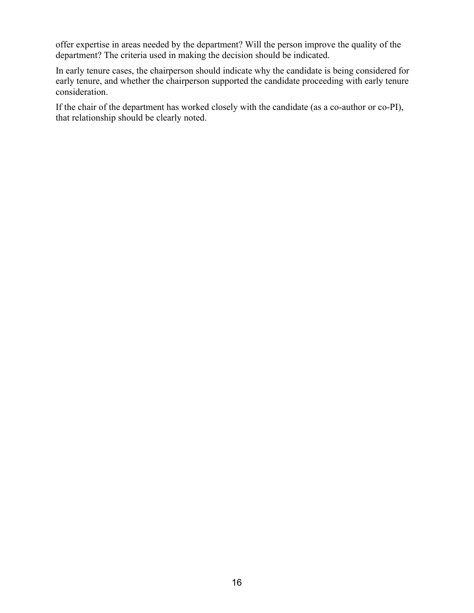offer expertise in areas needed by the department? Will the person improve the quality of the department? The criteria used in making the decision should be indicated.

In early tenure cases, the chairperson should indicate why the candidate is being considered for early tenure, and whether the chairperson supported the candidate proceeding with early tenure consideration.

If the chair of the department has worked closely with the candidate (as a co-author or co-PI), that relationship should be clearly noted.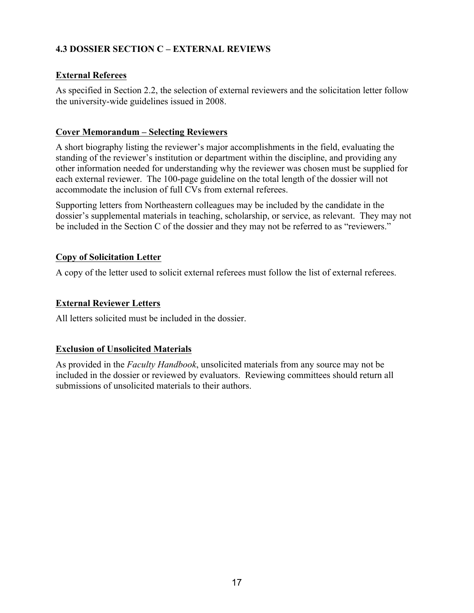# **4.3 DOSSIER SECTION C – EXTERNAL REVIEWS**

## **External Referees**

As specified in Section 2.2, the selection of external reviewers and the solicitation letter follow the university-wide guidelines issued in 2008.

#### **Cover Memorandum – Selecting Reviewers**

A short biography listing the reviewer's major accomplishments in the field, evaluating the standing of the reviewer's institution or department within the discipline, and providing any other information needed for understanding why the reviewer was chosen must be supplied for each external reviewer. The 100-page guideline on the total length of the dossier will not accommodate the inclusion of full CVs from external referees.

Supporting letters from Northeastern colleagues may be included by the candidate in the dossier's supplemental materials in teaching, scholarship, or service, as relevant. They may not be included in the Section C of the dossier and they may not be referred to as "reviewers."

#### **Copy of Solicitation Letter**

A copy of the letter used to solicit external referees must follow the list of external referees.

## **External Reviewer Letters**

All letters solicited must be included in the dossier.

# **Exclusion of Unsolicited Materials**

As provided in the *Faculty Handbook*, unsolicited materials from any source may not be included in the dossier or reviewed by evaluators. Reviewing committees should return all submissions of unsolicited materials to their authors.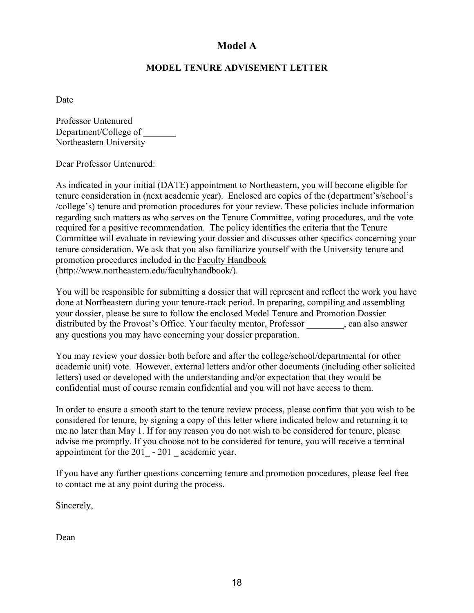# **Model A**

## **MODEL TENURE ADVISEMENT LETTER**

Date

Professor Untenured Department/College of \_\_\_\_\_\_\_ Northeastern University

Dear Professor Untenured:

As indicated in your initial (DATE) appointment to Northeastern, you will become eligible for tenure consideration in (next academic year). Enclosed are copies of the (department's/school's /college's) tenure and promotion procedures for your review. These policies include information regarding such matters as who serves on the Tenure Committee, voting procedures, and the vote required for a positive recommendation. The policy identifies the criteria that the Tenure Committee will evaluate in reviewing your dossier and discusses other specifics concerning your tenure consideration. We ask that you also familiarize yourself with the University tenure and promotion procedures included in the Faculty Handbook (http://www.northeastern.edu/facultyhandbook/).

You will be responsible for submitting a dossier that will represent and reflect the work you have done at Northeastern during your tenure-track period. In preparing, compiling and assembling your dossier, please be sure to follow the enclosed Model Tenure and Promotion Dossier distributed by the Provost's Office. Your faculty mentor, Professor \_\_\_\_\_\_\_\_, can also answer any questions you may have concerning your dossier preparation.

You may review your dossier both before and after the college/school/departmental (or other academic unit) vote. However, external letters and/or other documents (including other solicited letters) used or developed with the understanding and/or expectation that they would be confidential must of course remain confidential and you will not have access to them.

In order to ensure a smooth start to the tenure review process, please confirm that you wish to be considered for tenure, by signing a copy of this letter where indicated below and returning it to me no later than May 1. If for any reason you do not wish to be considered for tenure, please advise me promptly. If you choose not to be considered for tenure, you will receive a terminal appointment for the 201 - 201 academic year.

If you have any further questions concerning tenure and promotion procedures, please feel free to contact me at any point during the process.

Sincerely,

Dean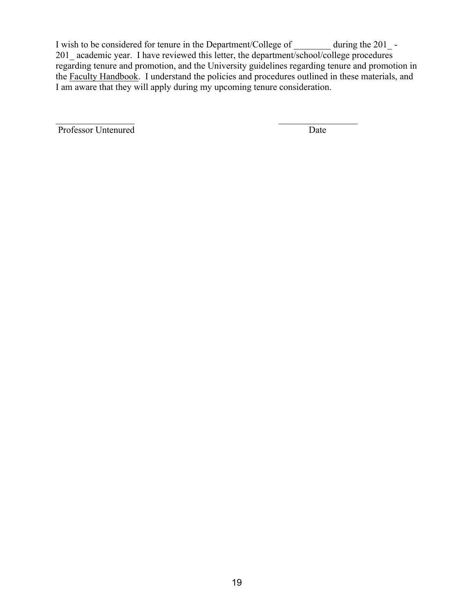I wish to be considered for tenure in the Department/College of \_\_\_\_\_\_\_\_ during the 201\_-201\_ academic year. I have reviewed this letter, the department/school/college procedures regarding tenure and promotion, and the University guidelines regarding tenure and promotion in the Faculty Handbook. I understand the policies and procedures outlined in these materials, and I am aware that they will apply during my upcoming tenure consideration.

 $\mathcal{L}_\text{max}$  , and the contract of the contract of the contract of the contract of the contract of the contract of

Professor Untenured Date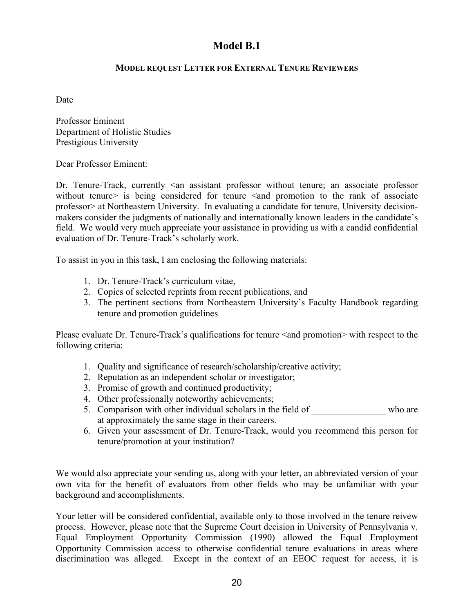# **Model B.1**

#### **MODEL REQUEST LETTER FOR EXTERNAL TENURE REVIEWERS**

Date

Professor Eminent Department of Holistic Studies Prestigious University

Dear Professor Eminent:

Dr. Tenure-Track, currently  $\leq$  an assistant professor without tenure; an associate professor without tenure> is being considered for tenure <and promotion to the rank of associate professor> at Northeastern University. In evaluating a candidate for tenure, University decisionmakers consider the judgments of nationally and internationally known leaders in the candidate's field. We would very much appreciate your assistance in providing us with a candid confidential evaluation of Dr. Tenure-Track's scholarly work.

To assist in you in this task, I am enclosing the following materials:

- 1. Dr. Tenure-Track's curriculum vitae,
- 2. Copies of selected reprints from recent publications, and
- 3. The pertinent sections from Northeastern University's Faculty Handbook regarding tenure and promotion guidelines

Please evaluate Dr. Tenure-Track's qualifications for tenure <and promotion> with respect to the following criteria:

- 1. Quality and significance of research/scholarship/creative activity;
- 2. Reputation as an independent scholar or investigator;
- 3. Promise of growth and continued productivity;
- 4. Other professionally noteworthy achievements;
- 5. Comparison with other individual scholars in the field of who are at approximately the same stage in their careers.
- 6. Given your assessment of Dr. Tenure-Track, would you recommend this person for tenure/promotion at your institution?

We would also appreciate your sending us, along with your letter, an abbreviated version of your own vita for the benefit of evaluators from other fields who may be unfamiliar with your background and accomplishments.

Your letter will be considered confidential, available only to those involved in the tenure reivew process. However, please note that the Supreme Court decision in University of Pennsylvania v. Equal Employment Opportunity Commission (1990) allowed the Equal Employment Opportunity Commission access to otherwise confidential tenure evaluations in areas where discrimination was alleged. Except in the context of an EEOC request for access, it is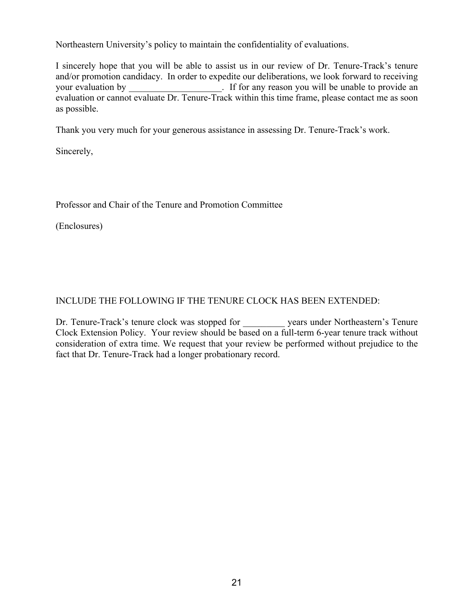Northeastern University's policy to maintain the confidentiality of evaluations.

I sincerely hope that you will be able to assist us in our review of Dr. Tenure-Track's tenure and/or promotion candidacy. In order to expedite our deliberations, we look forward to receiving your evaluation by \_\_\_\_\_\_\_\_\_\_\_\_\_\_\_\_\_\_. If for any reason you will be unable to provide an evaluation or cannot evaluate Dr. Tenure-Track within this time frame, please contact me as soon as possible.

Thank you very much for your generous assistance in assessing Dr. Tenure-Track's work.

Sincerely,

Professor and Chair of the Tenure and Promotion Committee

(Enclosures)

# INCLUDE THE FOLLOWING IF THE TENURE CLOCK HAS BEEN EXTENDED:

Dr. Tenure-Track's tenure clock was stopped for \_\_\_\_\_\_\_\_\_ years under Northeastern's Tenure Clock Extension Policy. Your review should be based on a full-term 6-year tenure track without consideration of extra time. We request that your review be performed without prejudice to the fact that Dr. Tenure-Track had a longer probationary record.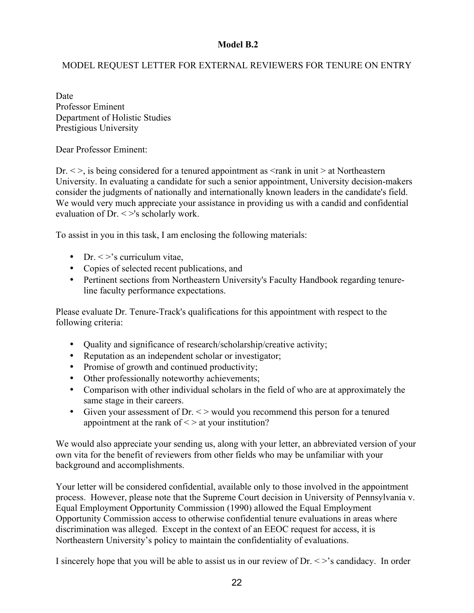#### **Model B.2**

## MODEL REQUEST LETTER FOR EXTERNAL REVIEWERS FOR TENURE ON ENTRY

Date Professor Eminent Department of Holistic Studies Prestigious University

Dear Professor Eminent:

Dr.  $\langle \rangle$ , is being considered for a tenured appointment as  $\langle \rangle$  rank in unit  $\rangle$  at Northeastern University. In evaluating a candidate for such a senior appointment, University decision-makers consider the judgments of nationally and internationally known leaders in the candidate's field. We would very much appreciate your assistance in providing us with a candid and confidential evaluation of Dr. < >'s scholarly work.

To assist in you in this task, I am enclosing the following materials:

- Dr.  $\langle \rangle$ 's curriculum vitae,
- Copies of selected recent publications, and
- Pertinent sections from Northeastern University's Faculty Handbook regarding tenureline faculty performance expectations.

Please evaluate Dr. Tenure-Track's qualifications for this appointment with respect to the following criteria:

- Quality and significance of research/scholarship/creative activity;
- Reputation as an independent scholar or investigator;
- Promise of growth and continued productivity;
- Other professionally noteworthy achievements;
- Comparison with other individual scholars in the field of who are at approximately the same stage in their careers.
- Given your assessment of Dr.  $\lt$  > would you recommend this person for a tenured appointment at the rank of  $\leq$  at your institution?

We would also appreciate your sending us, along with your letter, an abbreviated version of your own vita for the benefit of reviewers from other fields who may be unfamiliar with your background and accomplishments.

Your letter will be considered confidential, available only to those involved in the appointment process. However, please note that the Supreme Court decision in University of Pennsylvania v. Equal Employment Opportunity Commission (1990) allowed the Equal Employment Opportunity Commission access to otherwise confidential tenure evaluations in areas where discrimination was alleged. Except in the context of an EEOC request for access, it is Northeastern University's policy to maintain the confidentiality of evaluations.

I sincerely hope that you will be able to assist us in our review of  $Dr. \langle \rangle$ 's candidacy. In order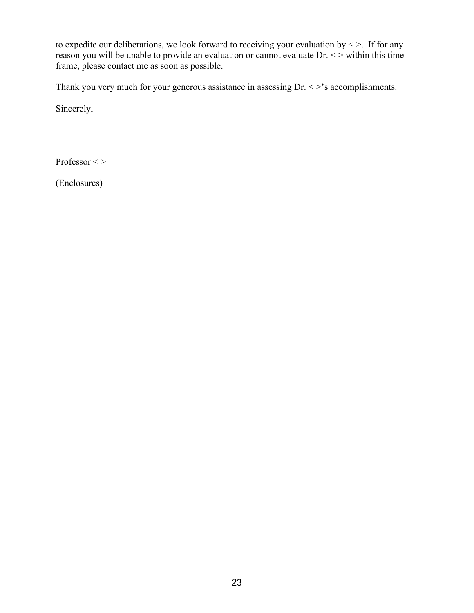to expedite our deliberations, we look forward to receiving your evaluation by  $\leq$  >. If for any reason you will be unable to provide an evaluation or cannot evaluate Dr. <> within this time frame, please contact me as soon as possible.

Thank you very much for your generous assistance in assessing Dr. < >'s accomplishments.

Sincerely,

Professor < >

(Enclosures)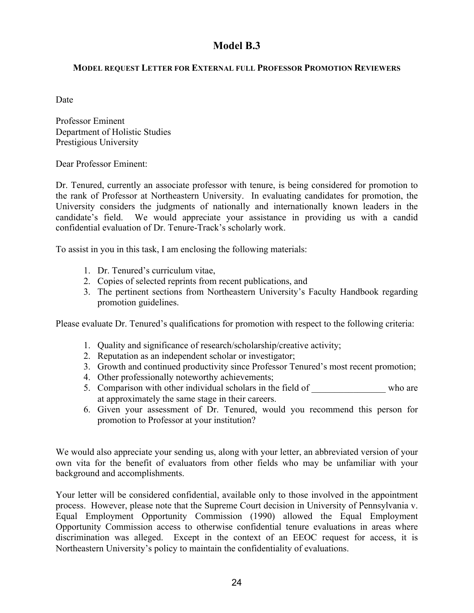# **Model B.3**

#### **MODEL REQUEST LETTER FOR EXTERNAL FULL PROFESSOR PROMOTION REVIEWERS**

Date

Professor Eminent Department of Holistic Studies Prestigious University

Dear Professor Eminent:

Dr. Tenured, currently an associate professor with tenure, is being considered for promotion to the rank of Professor at Northeastern University. In evaluating candidates for promotion, the University considers the judgments of nationally and internationally known leaders in the candidate's field. We would appreciate your assistance in providing us with a candid confidential evaluation of Dr. Tenure-Track's scholarly work.

To assist in you in this task, I am enclosing the following materials:

- 1. Dr. Tenured's curriculum vitae,
- 2. Copies of selected reprints from recent publications, and
- 3. The pertinent sections from Northeastern University's Faculty Handbook regarding promotion guidelines.

Please evaluate Dr. Tenured's qualifications for promotion with respect to the following criteria:

- 1. Quality and significance of research/scholarship/creative activity;
- 2. Reputation as an independent scholar or investigator;
- 3. Growth and continued productivity since Professor Tenured's most recent promotion;
- 4. Other professionally noteworthy achievements;
- 5. Comparison with other individual scholars in the field of who are at approximately the same stage in their careers.
- 6. Given your assessment of Dr. Tenured, would you recommend this person for promotion to Professor at your institution?

We would also appreciate your sending us, along with your letter, an abbreviated version of your own vita for the benefit of evaluators from other fields who may be unfamiliar with your background and accomplishments.

Your letter will be considered confidential, available only to those involved in the appointment process. However, please note that the Supreme Court decision in University of Pennsylvania v. Equal Employment Opportunity Commission (1990) allowed the Equal Employment Opportunity Commission access to otherwise confidential tenure evaluations in areas where discrimination was alleged. Except in the context of an EEOC request for access, it is Northeastern University's policy to maintain the confidentiality of evaluations.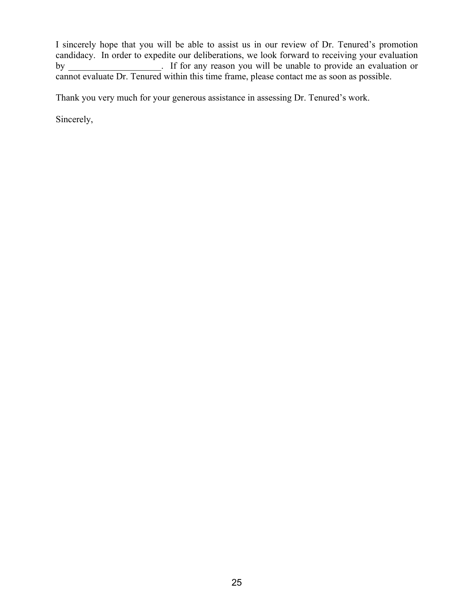I sincerely hope that you will be able to assist us in our review of Dr. Tenured's promotion candidacy. In order to expedite our deliberations, we look forward to receiving your evaluation by **Extract Left** If for any reason you will be unable to provide an evaluation or cannot evaluate Dr. Tenured within this time frame, please contact me as soon as possible.

Thank you very much for your generous assistance in assessing Dr. Tenured's work.

Sincerely,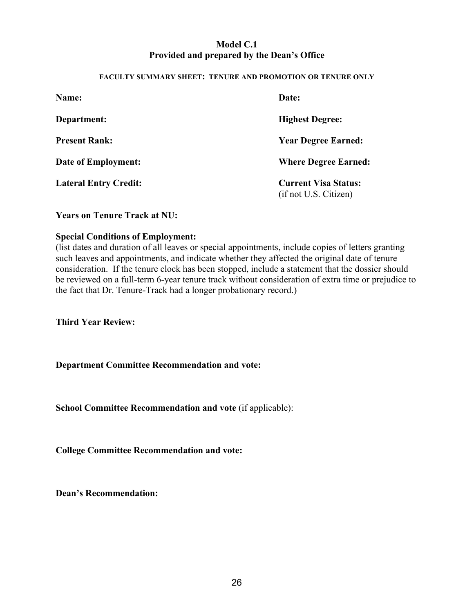## **Model C.1 Provided and prepared by the Dean's Office**

#### **FACULTY SUMMARY SHEET: TENURE AND PROMOTION OR TENURE ONLY**

| Name:                        | Date:                                                |  |  |
|------------------------------|------------------------------------------------------|--|--|
| Department:                  | <b>Highest Degree:</b>                               |  |  |
| <b>Present Rank:</b>         | <b>Year Degree Earned:</b>                           |  |  |
| Date of Employment:          | <b>Where Degree Earned:</b>                          |  |  |
| <b>Lateral Entry Credit:</b> | <b>Current Visa Status:</b><br>(if not U.S. Citizen) |  |  |

**Years on Tenure Track at NU:**

#### **Special Conditions of Employment:**

(list dates and duration of all leaves or special appointments, include copies of letters granting such leaves and appointments, and indicate whether they affected the original date of tenure consideration. If the tenure clock has been stopped, include a statement that the dossier should be reviewed on a full-term 6-year tenure track without consideration of extra time or prejudice to the fact that Dr. Tenure-Track had a longer probationary record.)

**Third Year Review:**

**Department Committee Recommendation and vote:**

**School Committee Recommendation and vote** (if applicable):

**College Committee Recommendation and vote:**

**Dean's Recommendation:**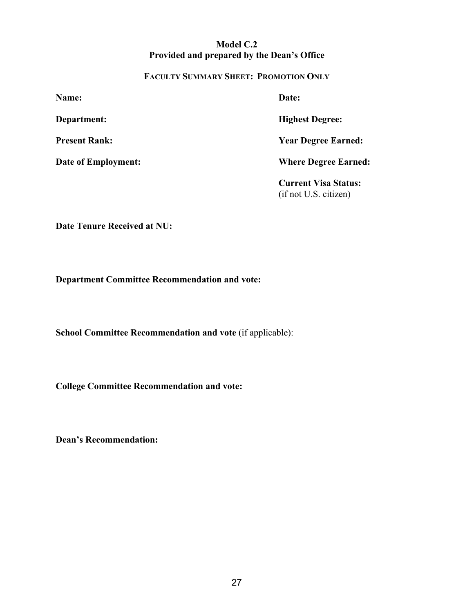## **Model C.2 Provided and prepared by the Dean's Office**

#### **FACULTY SUMMARY SHEET: PROMOTION ONLY**

(if not U.S. citizen)

| <b>Name:</b>               | Date:                       |  |
|----------------------------|-----------------------------|--|
| Department:                | <b>Highest Degree:</b>      |  |
| <b>Present Rank:</b>       | <b>Year Degree Earned:</b>  |  |
| <b>Date of Employment:</b> | <b>Where Degree Earned:</b> |  |
|                            | <b>Current Visa Status:</b> |  |

**Date Tenure Received at NU:**

**Department Committee Recommendation and vote:**

**School Committee Recommendation and vote** (if applicable):

**College Committee Recommendation and vote:**

**Dean's Recommendation:**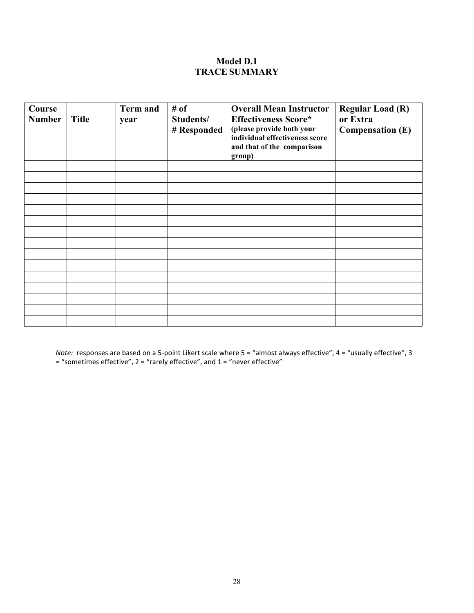#### **Model D.1 TRACE SUMMARY**

| Course<br><b>Number</b> | <b>Title</b> | <b>Term and</b><br>year | # of<br>Students/<br># Responded | <b>Overall Mean Instructor</b><br><b>Effectiveness Score*</b><br>(please provide both your<br>individual effectiveness score<br>and that of the comparison<br>group) | <b>Regular Load (R)</b><br>or Extra<br><b>Compensation (E)</b> |
|-------------------------|--------------|-------------------------|----------------------------------|----------------------------------------------------------------------------------------------------------------------------------------------------------------------|----------------------------------------------------------------|
|                         |              |                         |                                  |                                                                                                                                                                      |                                                                |
|                         |              |                         |                                  |                                                                                                                                                                      |                                                                |
|                         |              |                         |                                  |                                                                                                                                                                      |                                                                |
|                         |              |                         |                                  |                                                                                                                                                                      |                                                                |
|                         |              |                         |                                  |                                                                                                                                                                      |                                                                |
|                         |              |                         |                                  |                                                                                                                                                                      |                                                                |
|                         |              |                         |                                  |                                                                                                                                                                      |                                                                |
|                         |              |                         |                                  |                                                                                                                                                                      |                                                                |
|                         |              |                         |                                  |                                                                                                                                                                      |                                                                |
|                         |              |                         |                                  |                                                                                                                                                                      |                                                                |
|                         |              |                         |                                  |                                                                                                                                                                      |                                                                |
|                         |              |                         |                                  |                                                                                                                                                                      |                                                                |
|                         |              |                         |                                  |                                                                                                                                                                      |                                                                |
|                         |              |                         |                                  |                                                                                                                                                                      |                                                                |
|                         |              |                         |                                  |                                                                                                                                                                      |                                                                |

*Note:* responses are based on a 5-point Likert scale where 5 = "almost always effective", 4 = "usually effective", 3 = "sometimes effective", 2 = "rarely effective", and 1 = "never effective"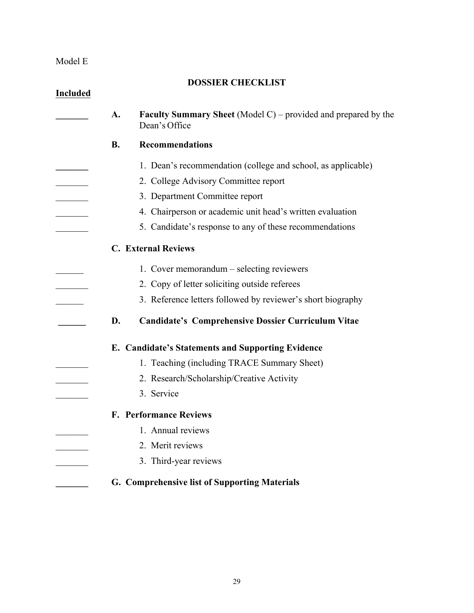#### Model E

# **DOSSIER CHECKLIST Included \_\_\_\_\_\_\_ A. Faculty Summary Sheet** (Model C) – provided and prepared by the Dean's Office **B. Recommendations \_\_\_\_\_\_\_** 1. Dean's recommendation (college and school, as applicable) \_\_\_\_\_\_\_ 2. College Advisory Committee report \_\_\_\_\_\_\_ 3. Department Committee report \_\_\_\_\_\_\_ 4. Chairperson or academic unit head's written evaluation 5. Candidate's response to any of these recommendations **C. External Reviews** 1. Cover memorandum – selecting reviewers 2. Copy of letter soliciting outside referees 3. Reference letters followed by reviewer's short biography **\_\_\_\_\_\_ D. Candidate's Comprehensive Dossier Curriculum Vitae E. Candidate's Statements and Supporting Evidence** 1. Teaching (including TRACE Summary Sheet) 2. Research/Scholarship/Creative Activity 3. Service **F. Performance Reviews** 1. Annual reviews 2. Merit reviews \_\_\_\_\_\_\_ 3. Third-year reviews **\_\_\_\_\_\_\_ G. Comprehensive list of Supporting Materials**